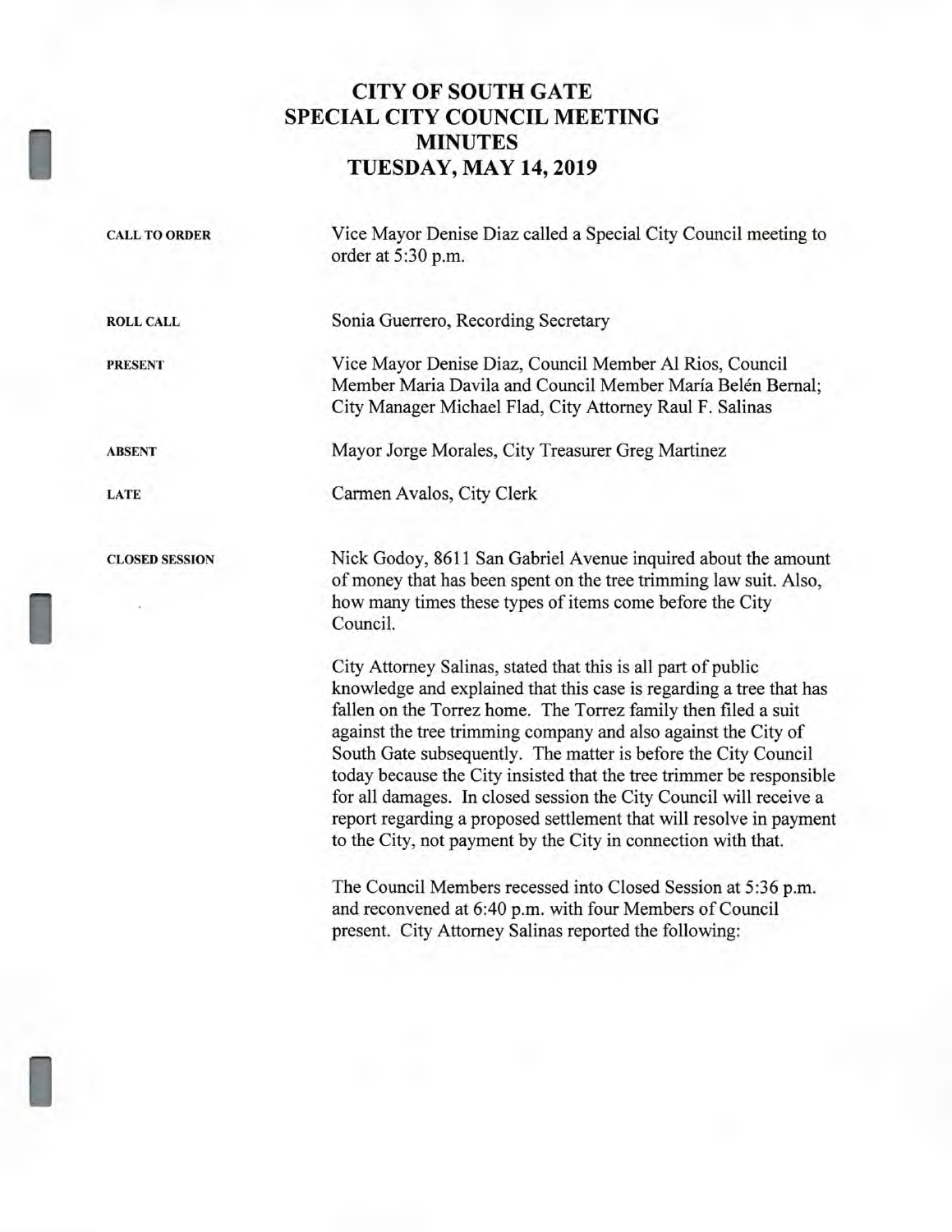# **CITY OF SOUTH GATE SPECIAL CITY COUNCIL MEETING MINUTES TUESDAY, MAY 14, 2019**

| <b>CALL TO ORDER</b>  | Vice Mayor Denise Diaz called a Special City Council meeting to<br>order at 5:30 p.m.                                                                                                                                                                                                                                                                                                                                                                                                                                                                                                                                            |
|-----------------------|----------------------------------------------------------------------------------------------------------------------------------------------------------------------------------------------------------------------------------------------------------------------------------------------------------------------------------------------------------------------------------------------------------------------------------------------------------------------------------------------------------------------------------------------------------------------------------------------------------------------------------|
| <b>ROLL CALL</b>      | Sonia Guerrero, Recording Secretary                                                                                                                                                                                                                                                                                                                                                                                                                                                                                                                                                                                              |
| <b>PRESENT</b>        | Vice Mayor Denise Diaz, Council Member Al Rios, Council<br>Member Maria Davila and Council Member María Belén Bernal;<br>City Manager Michael Flad, City Attorney Raul F. Salinas                                                                                                                                                                                                                                                                                                                                                                                                                                                |
| <b>ABSENT</b>         | Mayor Jorge Morales, City Treasurer Greg Martinez                                                                                                                                                                                                                                                                                                                                                                                                                                                                                                                                                                                |
| <b>LATE</b>           | Carmen Avalos, City Clerk                                                                                                                                                                                                                                                                                                                                                                                                                                                                                                                                                                                                        |
| <b>CLOSED SESSION</b> | Nick Godoy, 8611 San Gabriel Avenue inquired about the amount<br>of money that has been spent on the tree trimming law suit. Also,<br>how many times these types of items come before the City<br>Council.                                                                                                                                                                                                                                                                                                                                                                                                                       |
|                       | City Attorney Salinas, stated that this is all part of public<br>knowledge and explained that this case is regarding a tree that has<br>fallen on the Torrez home. The Torrez family then filed a suit<br>against the tree trimming company and also against the City of<br>South Gate subsequently. The matter is before the City Council<br>today because the City insisted that the tree trimmer be responsible<br>for all damages. In closed session the City Council will receive a<br>report regarding a proposed settlement that will resolve in payment<br>to the City, not payment by the City in connection with that. |
|                       | The Council Members recessed into Closed Session at 5:36 p.m.<br>and reconvened at 6:40 p.m. with four Members of Council<br>present. City Attorney Salinas reported the following:                                                                                                                                                                                                                                                                                                                                                                                                                                              |

I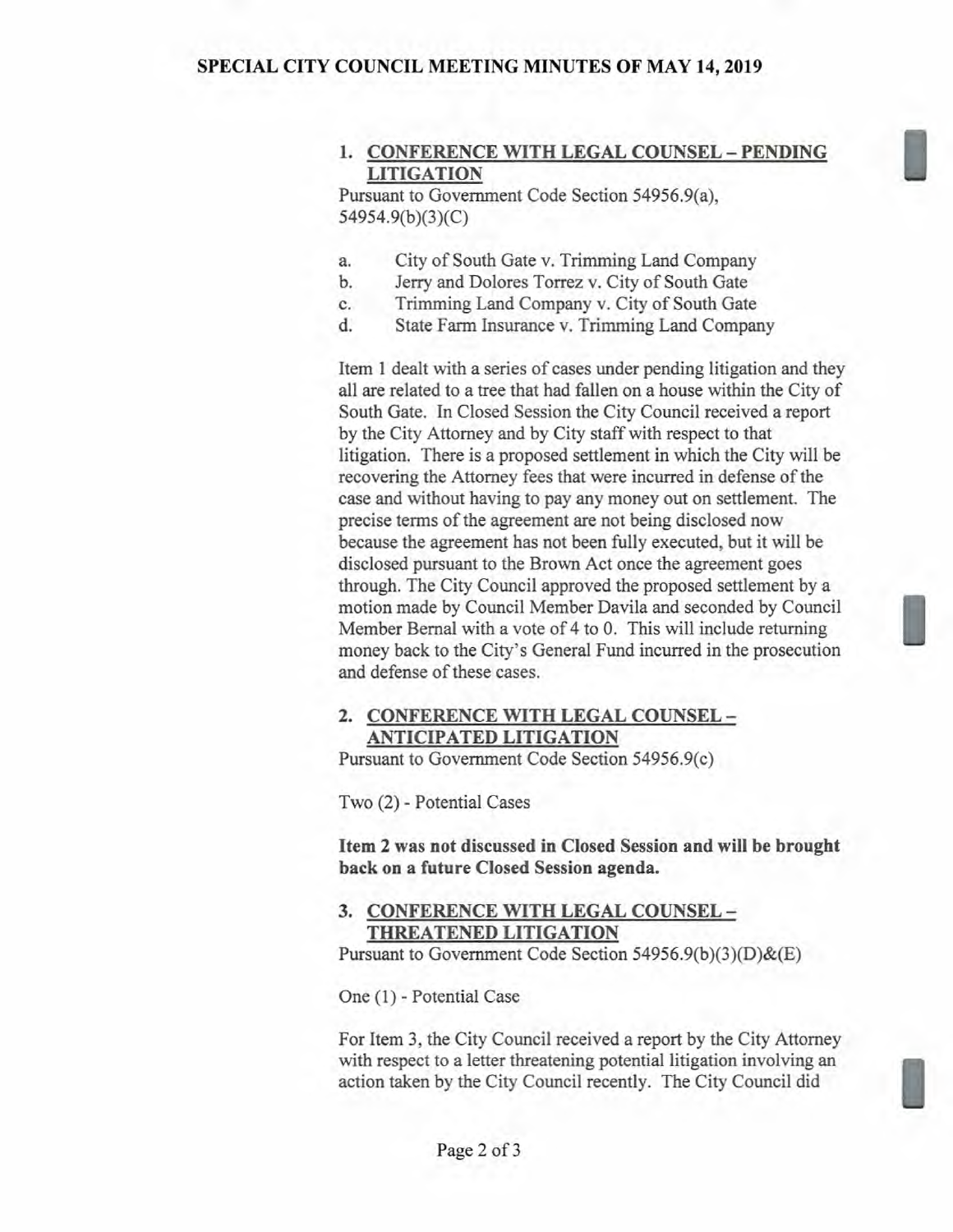#### **SPECIAL CITY COUNCIL MEETING MINUTES OF MAY 14, 2019**

## **1. CONFERENCE WITH LEGAL COUNSEL — PENDING LITIGATION**

Pursuant to Government Code Section 54956.9(a), 54954.9(b)(3)(C)

- a. City of South Gate v. Trimming Land Company
- b. Jerry and Dolores Torrez v. City of South Gate
- c. Trimming Land Company v. City of South Gate
- d. State Farm Insurance v. Trimming Land Company

Item 1 dealt with a series of cases under pending litigation and they all are related to a tree that had fallen on a house within the City of South Gate. In Closed Session the City Council received a report by the City Attorney and by City staff with respect to that litigation. There is a proposed settlement in which the City will be recovering the Attorney fees that were incurred in defense of the case and without having to pay any money out on settlement. The precise terms of the agreement are not being disclosed now because the agreement has not been fully executed, but it will be disclosed pursuant to the Brown Act once the agreement goes through. The City Council approved the proposed settlement by a motion made by Council Member Davila and seconded by Council Member Bernal with a vote of 4 to 0. This will include returning money back to the City's General Fund incurred in the prosecution and defense of these cases.

#### **2. CONFERENCE WITH LEGAL COUNSEL — ANTICIPATED LITIGATION**

Pursuant to Government Code Section 54956.9(c)

Two (2) - Potential Cases

**Item 2 was not discussed in Closed Session and will be brought back on a future Closed Session agenda.** 

#### **3. CONFERENCE WITH LEGAL COUNSEL — THREATENED LITIGATION**

Pursuant to Government Code Section 54956.9(b)(3)(D)&(E)

One (1) - Potential Case

For Item 3, the City Council received a report by the City Attorney with respect to a letter threatening potential litigation involving an action taken by the City Council recently. The City Council did